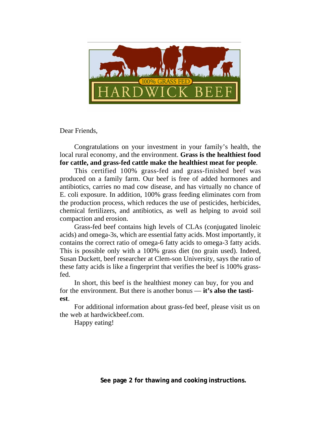

Dear Friends,

Congratulations on your investment in your family's health, the local rural economy, and the environment. **Grass is the healthiest food for cattle, and grass-fed cattle make the healthiest meat for people**.

This certified 100% grass-fed and grass-finished beef was produced on a family farm. Our beef is free of added hormones and antibiotics, carries no mad cow disease, and has virtually no chance of E. coli exposure. In addition, 100% grass feeding eliminates corn from the production process, which reduces the use of pesticides, herbicides, chemical fertilizers, and antibiotics, as well as helping to avoid soil compaction and erosion.

Grass-fed beef contains high levels of CLAs (conjugated linoleic acids) and omega-3s, which are essential fatty acids. Most importantly, it contains the correct ratio of omega-6 fatty acids to omega-3 fatty acids. This is possible only with a 100% grass diet (no grain used). Indeed, Susan Duckett, beef researcher at Clem-son University, says the ratio of these fatty acids is like a fingerprint that verifies the beef is 100% grassfed.

In short, this beef is the healthiest money can buy, for you and for the environment. But there is another bonus — **it's also the tastiest**.

For additional information about grass-fed beef, please visit us on the web at hardwickbeef.com.

Happy eating!

**See page 2 for thawing and cooking instructions.**